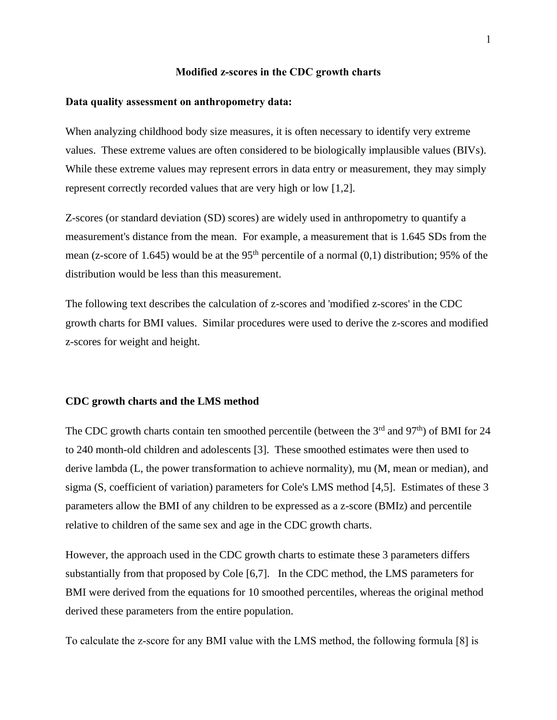#### **Modified z-scores in the CDC growth charts**

### **Data quality assessment on anthropometry data:**

When analyzing childhood body size measures, it is often necessary to identify very extreme values. These extreme values are often considered to be biologically implausible values (BIVs). While these extreme values may represent errors in data entry or measurement, they may simply represent correctly recorded values that are very high or low [1,2].

Z-scores (or standard deviation (SD) scores) are widely used in anthropometry to quantify a measurement's distance from the mean. For example, a measurement that is 1.645 SDs from the mean (z-score of 1.645) would be at the 95<sup>th</sup> percentile of a normal  $(0,1)$  distribution; 95% of the distribution would be less than this measurement.

The following text describes the calculation of z-scores and 'modified z-scores' in the CDC growth charts for BMI values. Similar procedures were used to derive the z-scores and modified z-scores for weight and height.

#### **CDC growth charts and the LMS method**

The CDC growth charts contain ten smoothed percentile (between the 3<sup>rd</sup> and 97<sup>th</sup>) of BMI for 24 to 240 month-old children and adolescents [3]. These smoothed estimates were then used to derive lambda (L, the power transformation to achieve normality), mu (M, mean or median), and sigma (S, coefficient of variation) parameters for Cole's LMS method [4,5]. Estimates of these 3 parameters allow the BMI of any children to be expressed as a z-score (BMIz) and percentile relative to children of the same sex and age in the CDC growth charts.

However, the approach used in the CDC growth charts to estimate these 3 parameters differs substantially from that proposed by Cole [6,7]. In the CDC method, the LMS parameters for BMI were derived from the equations for 10 smoothed percentiles, whereas the original method derived these parameters from the entire population.

To calculate the z-score for any BMI value with the LMS method, the following formula [8] is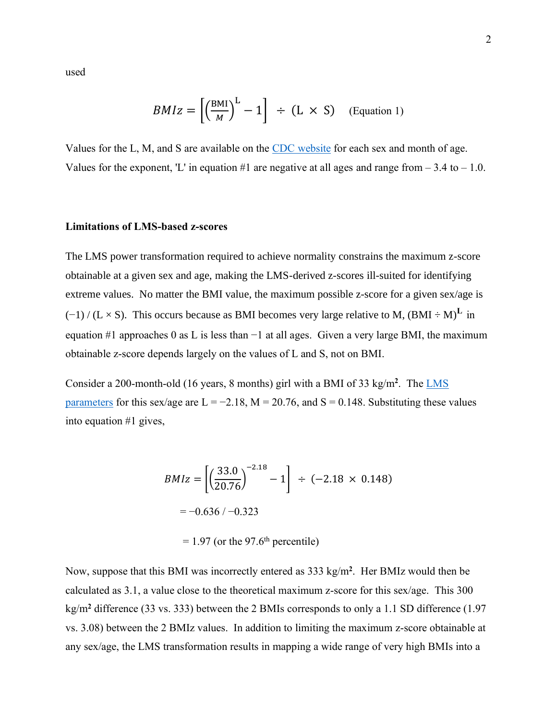used

$$
BMIz = \left[ \left( \frac{\text{BMI}}{M} \right)^{\text{L}} - 1 \right] \div (\text{L} \times \text{S}) \quad \text{(Equation 1)}
$$

Values for the L, M, and S are available on the [CDC website](http://www.cdc.gov/growthcharts/percentile_data_files.htm) for each sex and month of age. Values for the exponent, 'L' in equation #1 are negative at all ages and range from  $-3.4$  to  $-1.0$ .

### **Limitations of LMS-based z-scores**

The LMS power transformation required to achieve normality constrains the maximum z-score obtainable at a given sex and age, making the LMS-derived z-scores ill-suited for identifying extreme values. No matter the BMI value, the maximum possible z-score for a given sex/age is  $(-1) / (L \times S)$ . This occurs because as BMI becomes very large relative to M,  $(BMI \div M)^L$  in equation #1 approaches 0 as L is less than −1 at all ages. Given a very large BMI, the maximum obtainable z-score depends largely on the values of L and S, not on BMI.

Consider a 200-month-old (16 years, 8 months) girl with a BMI of 33 kg/m<sup>2</sup>. The LMS [parameters](http://www.cdc.gov/growthcharts/percentile_data_files.htm.) for this sex/age are  $L = -2.18$ ,  $M = 20.76$ , and  $S = 0.148$ . Substituting these values into equation #1 gives,

$$
BMIz = \left[ \left( \frac{33.0}{20.76} \right)^{-2.18} - 1 \right] \div (-2.18 \times 0.148)
$$
  
= -0.636 / -0.323

 $= 1.97$  (or the 97.6<sup>th</sup> percentile)

Now, suppose that this BMI was incorrectly entered as 333 kg/m**<sup>2</sup>** . Her BMIz would then be calculated as 3.1, a value close to the theoretical maximum z-score for this sex/age. This 300 kg/m**<sup>2</sup>** difference (33 vs. 333) between the 2 BMIs corresponds to only a 1.1 SD difference (1.97 vs. 3.08) between the 2 BMIz values. In addition to limiting the maximum z-score obtainable at any sex/age, the LMS transformation results in mapping a wide range of very high BMIs into a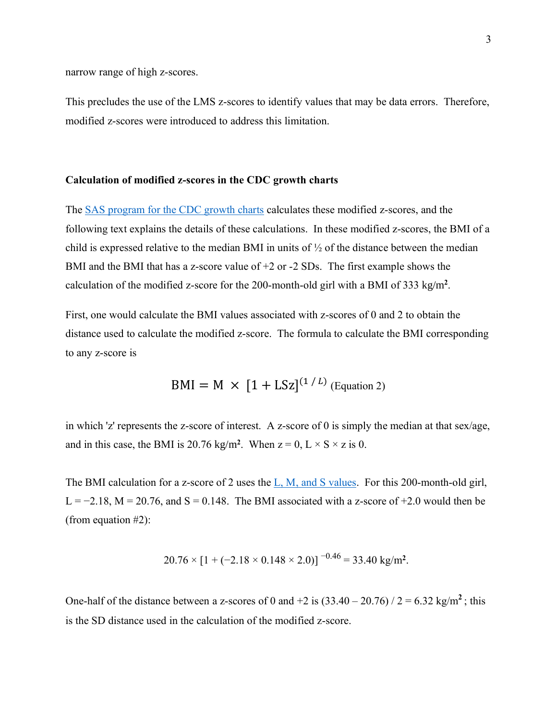narrow range of high z-scores.

This precludes the use of the LMS z-scores to identify values that may be data errors. Therefore, modified z-scores were introduced to address this limitation.

### **Calculation of modified z-scores in the CDC growth charts**

The [SAS program for the CDC growth charts](http://www.cdc.gov/nccdphp/dnpao/growthcharts/resources/sas.htm) calculates these modified z-scores, and the following text explains the details of these calculations. In these modified z-scores, the BMI of a child is expressed relative to the median BMI in units of  $\frac{1}{2}$  of the distance between the median BMI and the BMI that has a z-score value of  $+2$  or  $-2$  SDs. The first example shows the calculation of the modified z-score for the 200-month-old girl with a BMI of 333 kg/m**<sup>2</sup>** .

First, one would calculate the BMI values associated with z-scores of 0 and 2 to obtain the distance used to calculate the modified z-score. The formula to calculate the BMI corresponding to any z-score is

$$
BMI = M \times [1 + LSz]^{(1/L)} \text{ (Equation 2)}
$$

in which 'z' represents the z-score of interest. A z-score of 0 is simply the median at that sex/age, and in this case, the BMI is 20.76 kg/m<sup>2</sup>. When  $z = 0$ ,  $L \times S \times z$  is 0.

The BMI calculation for a z-score of 2 uses the [L, M, and S values.](http://www.cdc.gov/growthcharts/percentile_data_files.htm) For this 200-month-old girl, L =  $-2.18$ , M = 20.76, and S = 0.148. The BMI associated with a z-score of  $+2.0$  would then be (from equation #2):

$$
20.76 \times [1 + (-2.18 \times 0.148 \times 2.0)]^{-0.46} = 33.40 \text{ kg/m}^2.
$$

One-half of the distance between a z-scores of 0 and  $+2$  is  $(33.40 - 20.76) / 2 = 6.32$  kg/m<sup>2</sup>; this is the SD distance used in the calculation of the modified z-score.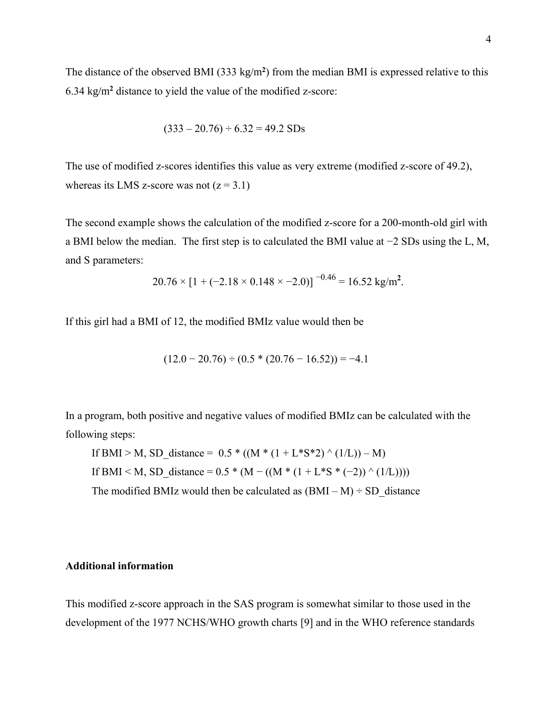The distance of the observed BMI (333 kg/m**<sup>2</sup>** ) from the median BMI is expressed relative to this 6.34 kg/m**<sup>2</sup>** distance to yield the value of the modified z-score:

$$
(333 - 20.76) \div 6.32 = 49.2
$$
 SDs

The use of modified z-scores identifies this value as very extreme (modified z-score of 49.2), whereas its LMS z-score was not  $(z = 3.1)$ 

The second example shows the calculation of the modified z-score for a 200-month-old girl with a BMI below the median. The first step is to calculated the BMI value at −2 SDs using the L, M, and S parameters:

$$
20.76 \times [1 + (-2.18 \times 0.148 \times -2.0)]^{-0.46} = 16.52 \text{ kg/m}^2.
$$

If this girl had a BMI of 12, the modified BMIz value would then be

$$
(12.0 - 20.76) \div (0.5 * (20.76 - 16.52)) = -4.1
$$

In a program, both positive and negative values of modified BMIz can be calculated with the following steps:

If BMI > M, SD\_distance =  $0.5 * ((M * (1 + L * S * 2) ^ (1/L)) - M)$ If BMI < M, SD\_distance =  $0.5 * (M - ((M * (1 + L * S * (-2)) \wedge (1/L))))$ The modified BMIz would then be calculated as  $(BMI - M) \div SD$  distance

# **Additional information**

This modified z-score approach in the SAS program is somewhat similar to those used in the development of the 1977 NCHS/WHO growth charts [9] and in the WHO reference standards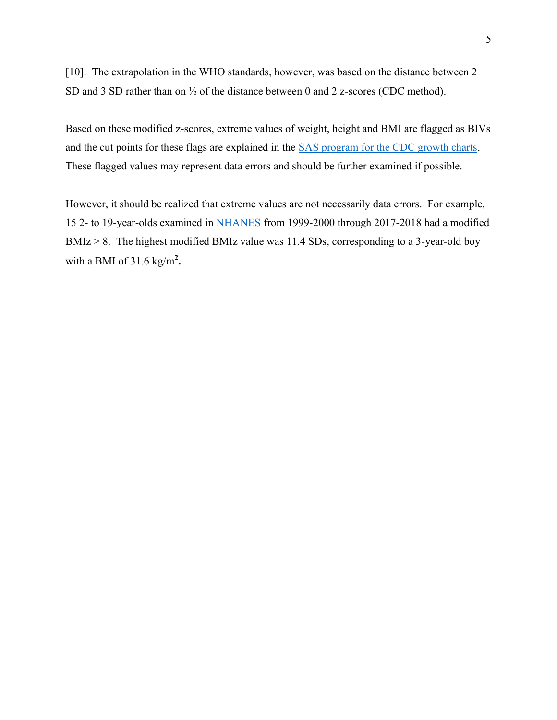[10]. The extrapolation in the WHO standards, however, was based on the distance between 2 SD and 3 SD rather than on ½ of the distance between 0 and 2 z-scores (CDC method).

Based on these modified z-scores, extreme values of weight, height and BMI are flagged as BIVs and the cut points for these flags are explained in the [SAS program for the CDC growth charts.](http://www.cdc.gov/nccdphp/dnpao/growthcharts/resources/sas.htm) These flagged values may represent data errors and should be further examined if possible.

However, it should be realized that extreme values are not necessarily data errors. For example, 15 2- to 19-year-olds examined in [NHANES](https://wwwn.cdc.gov/nchs/nhanes/Default.aspx) from 1999-2000 through 2017-2018 had a modified BMIz > 8. The highest modified BMIz value was 11.4 SDs, corresponding to a 3-year-old boy with a BMI of 31.6 kg/m**<sup>2</sup> .**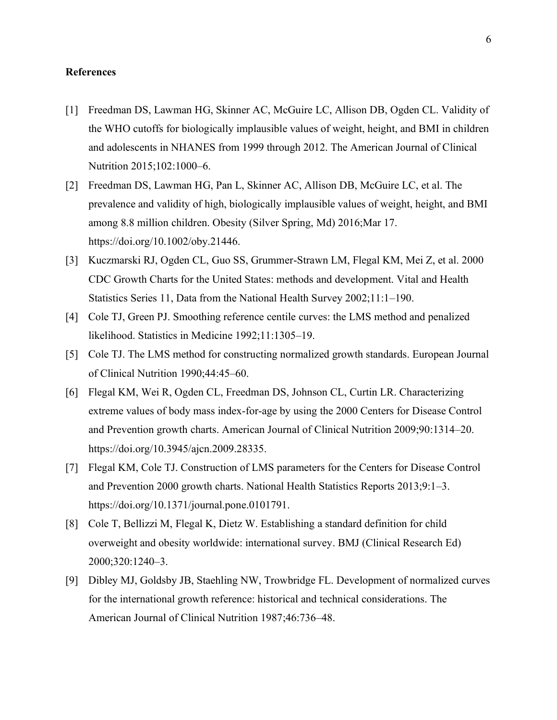## **References**

- [1] Freedman DS, Lawman HG, Skinner AC, McGuire LC, Allison DB, Ogden CL. Validity of the WHO cutoffs for biologically implausible values of weight, height, and BMI in children and adolescents in NHANES from 1999 through 2012. The American Journal of Clinical Nutrition 2015;102:1000–6.
- [2] Freedman DS, Lawman HG, Pan L, Skinner AC, Allison DB, McGuire LC, et al. The prevalence and validity of high, biologically implausible values of weight, height, and BMI among 8.8 million children. Obesity (Silver Spring, Md) 2016;Mar 17. https://doi.org/10.1002/oby.21446.
- [3] Kuczmarski RJ, Ogden CL, Guo SS, Grummer-Strawn LM, Flegal KM, Mei Z, et al. 2000 CDC Growth Charts for the United States: methods and development. Vital and Health Statistics Series 11, Data from the National Health Survey 2002;11:1–190.
- [4] Cole TJ, Green PJ. Smoothing reference centile curves: the LMS method and penalized likelihood. Statistics in Medicine 1992;11:1305–19.
- [5] Cole TJ. The LMS method for constructing normalized growth standards. European Journal of Clinical Nutrition 1990;44:45–60.
- [6] Flegal KM, Wei R, Ogden CL, Freedman DS, Johnson CL, Curtin LR. Characterizing extreme values of body mass index-for-age by using the 2000 Centers for Disease Control and Prevention growth charts. American Journal of Clinical Nutrition 2009;90:1314–20. https://doi.org/10.3945/ajcn.2009.28335.
- [7] Flegal KM, Cole TJ. Construction of LMS parameters for the Centers for Disease Control and Prevention 2000 growth charts. National Health Statistics Reports 2013;9:1–3. https://doi.org/10.1371/journal.pone.0101791.
- [8] Cole T, Bellizzi M, Flegal K, Dietz W. Establishing a standard definition for child overweight and obesity worldwide: international survey. BMJ (Clinical Research Ed) 2000;320:1240–3.
- [9] Dibley MJ, Goldsby JB, Staehling NW, Trowbridge FL. Development of normalized curves for the international growth reference: historical and technical considerations. The American Journal of Clinical Nutrition 1987;46:736–48.